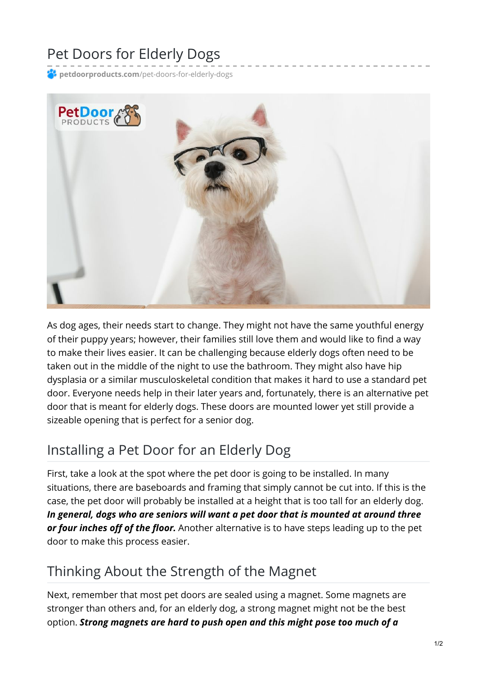# Pet Doors for Elderly Dogs

**petdoorproducts.com**[/pet-doors-for-elderly-dogs](https://petdoorproducts.com/pet-doors-for-elderly-dogs/)



As dog ages, their needs start to change. They might not have the same youthful energy of their puppy years; however, their families still love them and would like to find a way to make their lives easier. It can be challenging because elderly dogs often need to be taken out in the middle of the night to use the bathroom. They might also have hip dysplasia or a similar musculoskeletal condition that makes it hard to use a standard pet door. Everyone needs help in their later years and, fortunately, there is an alternative pet door that is meant for elderly dogs. These doors are mounted lower yet still provide a sizeable opening that is perfect for a senior dog.

### Installing a Pet Door for an Elderly Dog

First, take a look at the spot where the pet door is going to be installed. In many situations, there are baseboards and framing that simply cannot be cut into. If this is the case, the pet door will probably be installed at a height that is too tall for an elderly dog. *In general, dogs who are seniors will want a pet door that is mounted at around three or four inches off of the floor.* Another alternative is to have steps leading up to the pet door to make this process easier.

## Thinking About the Strength of the Magnet

Next, remember that most pet doors are sealed using a magnet. Some magnets are stronger than others and, for an elderly dog, a strong magnet might not be the best option. *Strong magnets are hard to push open and this might pose too much of a*